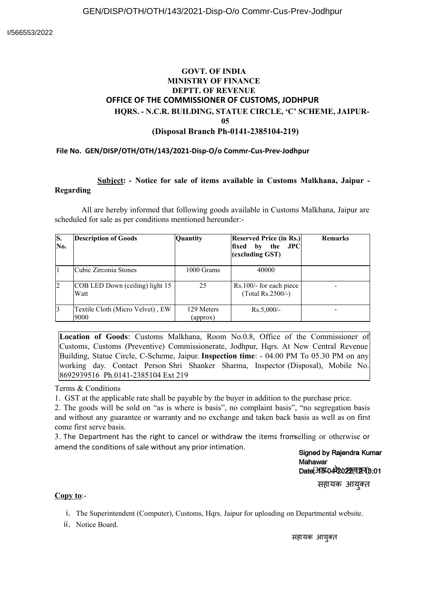## **GOVT. OF INDIA MINISTRY OF FINANCE DEPTT. OF REVENUE OFFICE OF THE COMMISSIONER OF CUSTOMS, JODHPUR HQRS. - N.C.R. BUILDING, STATUE CIRCLE, 'C' SCHEME, JAIPUR-05 (Disposal Branch Ph-0141-2385104-219)**

## **File No. GEN/DISP/OTH/OTH/143/2021-Disp-O/o Commr-Cus-Prev-Jodhpur**

## **Subject: - Notice for sale of items available in Customs Malkhana, Jaipur - Regarding**

All are hereby informed that following goods available in Customs Malkhana, Jaipur are scheduled for sale as per conditions mentioned hereunder:-

| S.<br>No. | <b>Description of Goods</b>              | Quantity               | <b>Reserved Price (in Rs.)</b><br>the<br>fixed<br>by<br>$_{\rm{JPC}}$<br>(excluding GST) | <b>Remarks</b> |
|-----------|------------------------------------------|------------------------|------------------------------------------------------------------------------------------|----------------|
|           | Cubic Zirconia Stones                    | 1000 Grams             | 40000                                                                                    |                |
| 2         | COB LED Down (ceiling) light 15<br>Watt  | 25                     | $Rs.100/-$ for each piece<br>$(Total Rs. 2500/-)$                                        |                |
| 3         | Textile Cloth (Micro Velvet), EW<br>9000 | 129 Meters<br>(approx) | $Rs.5,000/-$                                                                             |                |

**Location of Goods**: Customs Malkhana, Room No.0.8, Office of the Commissioner of Customs, Customs (Preventive) Commissionerate, Jodhpur, Hqrs. At New Central Revenue Building, Statue Circle, C-Scheme, Jaipur. **Inspection time**: - 04.00 PM To 05.30 PM on any working day. Contact Person Shri Shanker Sharma, Inspector (Disposal), Mobile No. 8692939516 Ph.0141-2385104 Ext 219

Terms & Conditions

1. GST at the applicable rate shall be payable by the buyer in addition to the purchase price.

2. The goods will be sold on "as is where is basis", no complaint basis", "no segregation basis and without any guarantee or warranty and no exchange and taken back basis as well as on first come first serve basis.

3. The Department has the right to cancel or withdraw the items fromselling or otherwise or amend the conditions of sale without any prior intimation.

Signed by Rajendra Kumar **Mahawar** Date( HBTO 42022 लाय 8:01

सहायक आयुक्त

## **Copy to**:-

i. The Superintendent (Computer), Customs, Hqrs. Jaipur for uploading on Departmental website.

ii. Notice Board.

सहायक आयुक्त